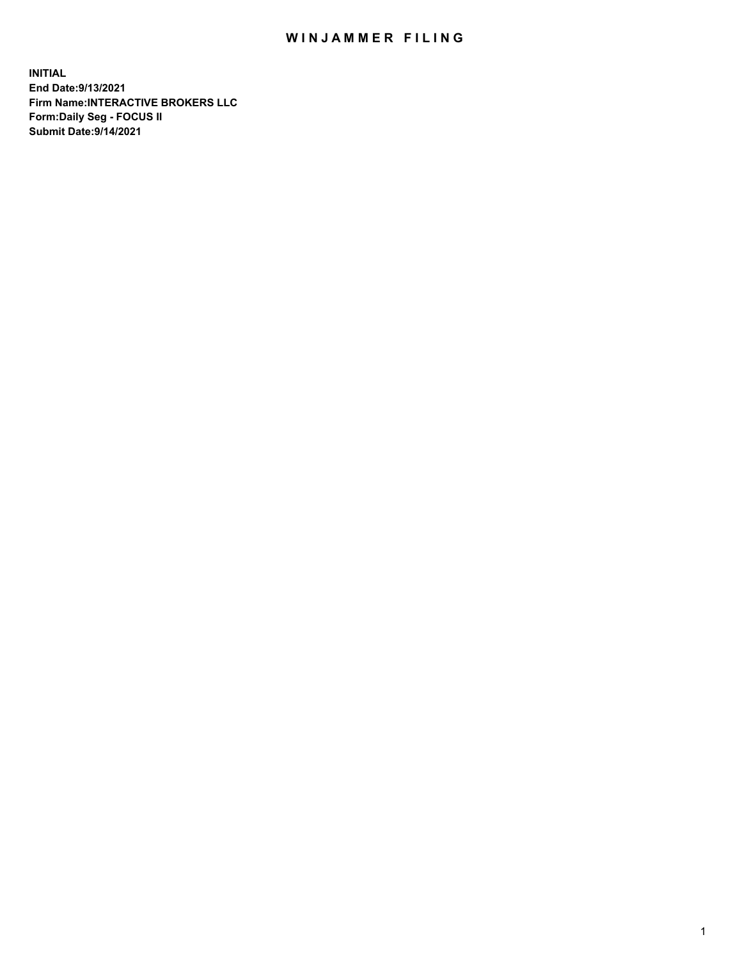## WIN JAMMER FILING

**INITIAL End Date:9/13/2021 Firm Name:INTERACTIVE BROKERS LLC Form:Daily Seg - FOCUS II Submit Date:9/14/2021**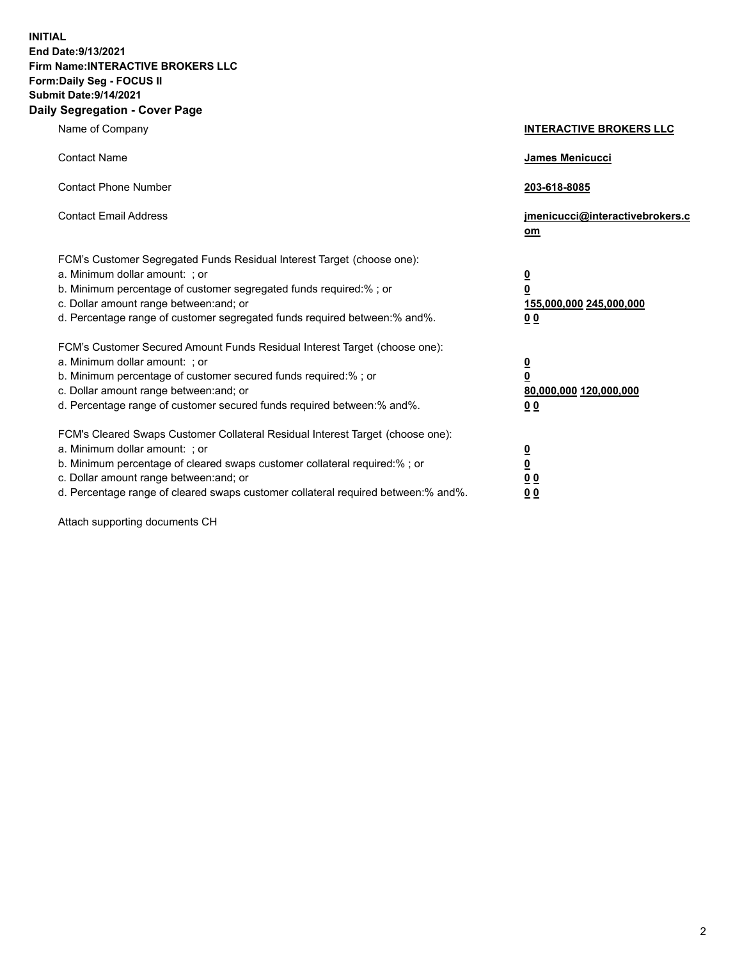**INITIAL End Date:9/13/2021 Firm Name:INTERACTIVE BROKERS LLC Form:Daily Seg - FOCUS II Submit Date:9/14/2021 Daily Segregation - Cover Page**

| Name of Company                                                                                                                                                                                                                                                                                                               | <b>INTERACTIVE BROKERS LLC</b>                                                            |
|-------------------------------------------------------------------------------------------------------------------------------------------------------------------------------------------------------------------------------------------------------------------------------------------------------------------------------|-------------------------------------------------------------------------------------------|
| <b>Contact Name</b>                                                                                                                                                                                                                                                                                                           | James Menicucci                                                                           |
| <b>Contact Phone Number</b>                                                                                                                                                                                                                                                                                                   | 203-618-8085                                                                              |
| <b>Contact Email Address</b>                                                                                                                                                                                                                                                                                                  | jmenicucci@interactivebrokers.c<br>$om$                                                   |
| FCM's Customer Segregated Funds Residual Interest Target (choose one):<br>a. Minimum dollar amount: ; or<br>b. Minimum percentage of customer segregated funds required:% ; or<br>c. Dollar amount range between: and; or<br>d. Percentage range of customer segregated funds required between: % and %.                      | $\overline{\mathbf{0}}$<br>0<br>155,000,000 245,000,000<br>0 <sub>0</sub>                 |
| FCM's Customer Secured Amount Funds Residual Interest Target (choose one):<br>a. Minimum dollar amount: ; or<br>b. Minimum percentage of customer secured funds required:%; or<br>c. Dollar amount range between: and; or<br>d. Percentage range of customer secured funds required between:% and%.                           | <u>0</u><br>$\overline{\mathbf{0}}$<br>80,000,000 120,000,000<br>00                       |
| FCM's Cleared Swaps Customer Collateral Residual Interest Target (choose one):<br>a. Minimum dollar amount: ; or<br>b. Minimum percentage of cleared swaps customer collateral required:%; or<br>c. Dollar amount range between: and; or<br>d. Percentage range of cleared swaps customer collateral required between:% and%. | <u>0</u><br>$\underline{\mathbf{0}}$<br>$\underline{0}$ $\underline{0}$<br>0 <sub>0</sub> |

Attach supporting documents CH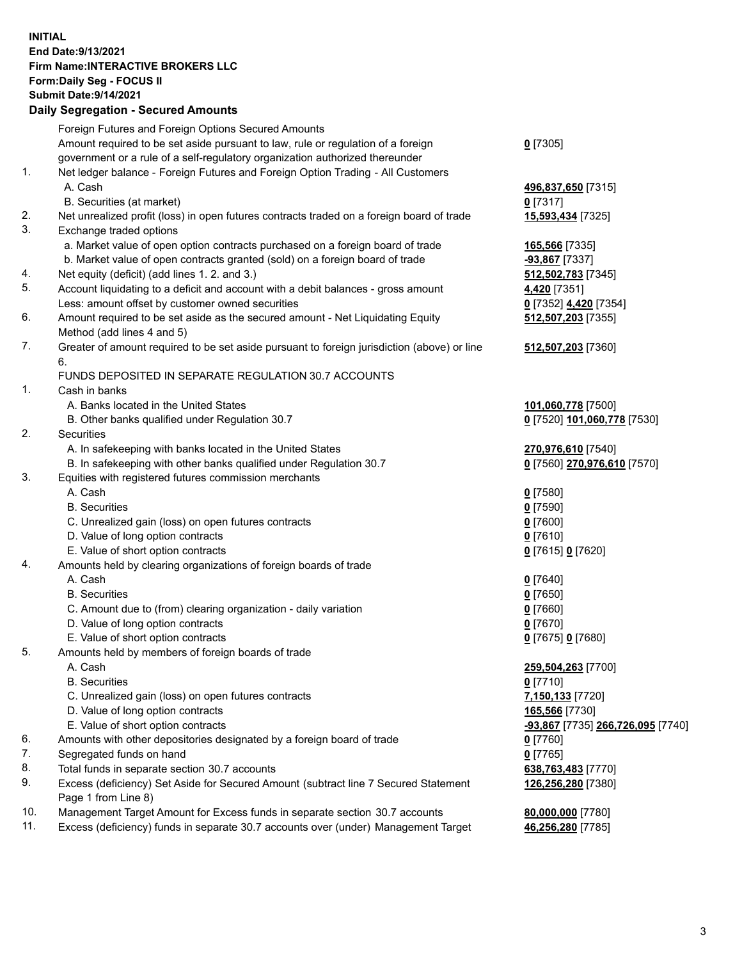## **INITIAL End Date:9/13/2021 Firm Name:INTERACTIVE BROKERS LLC Form:Daily Seg - FOCUS II Submit Date:9/14/2021 Daily Segregation - Secured Amounts**

|            | Daily Əeyleyatıolı - Əeculeu Allıoulits                                                     |                                   |
|------------|---------------------------------------------------------------------------------------------|-----------------------------------|
|            | Foreign Futures and Foreign Options Secured Amounts                                         |                                   |
|            | Amount required to be set aside pursuant to law, rule or regulation of a foreign            | $0$ [7305]                        |
|            | government or a rule of a self-regulatory organization authorized thereunder                |                                   |
| 1.         | Net ledger balance - Foreign Futures and Foreign Option Trading - All Customers             |                                   |
|            | A. Cash                                                                                     | 496,837,650 [7315]                |
|            | B. Securities (at market)                                                                   | $0$ [7317]                        |
| 2.         | Net unrealized profit (loss) in open futures contracts traded on a foreign board of trade   | 15,593,434 [7325]                 |
| 3.         | Exchange traded options                                                                     |                                   |
|            | a. Market value of open option contracts purchased on a foreign board of trade              | 165,566 [7335]                    |
|            | b. Market value of open contracts granted (sold) on a foreign board of trade                | -93,867 [7337]                    |
| 4.         | Net equity (deficit) (add lines 1. 2. and 3.)                                               | 512,502,783 [7345]                |
| 5.         | Account liquidating to a deficit and account with a debit balances - gross amount           | 4,420 [7351]                      |
|            | Less: amount offset by customer owned securities                                            | 0 [7352] 4,420 [7354]             |
| 6.         | Amount required to be set aside as the secured amount - Net Liquidating Equity              | 512,507,203 [7355]                |
|            | Method (add lines 4 and 5)                                                                  |                                   |
| 7.         | Greater of amount required to be set aside pursuant to foreign jurisdiction (above) or line | 512,507,203 [7360]                |
|            | 6.                                                                                          |                                   |
|            | FUNDS DEPOSITED IN SEPARATE REGULATION 30.7 ACCOUNTS                                        |                                   |
| 1.         | Cash in banks                                                                               |                                   |
|            | A. Banks located in the United States                                                       | 101,060,778 [7500]                |
|            | B. Other banks qualified under Regulation 30.7                                              | 0 [7520] 101,060,778 [7530]       |
| 2.         | <b>Securities</b>                                                                           |                                   |
|            | A. In safekeeping with banks located in the United States                                   | 270,976,610 [7540]                |
|            | B. In safekeeping with other banks qualified under Regulation 30.7                          | 0 [7560] 270,976,610 [7570]       |
| 3.         | Equities with registered futures commission merchants                                       |                                   |
|            | A. Cash                                                                                     | $0$ [7580]                        |
|            | <b>B.</b> Securities                                                                        | $0$ [7590]                        |
|            | C. Unrealized gain (loss) on open futures contracts                                         | $0$ [7600]                        |
|            | D. Value of long option contracts                                                           | $0$ [7610]                        |
|            | E. Value of short option contracts                                                          | 0 [7615] 0 [7620]                 |
| 4.         | Amounts held by clearing organizations of foreign boards of trade                           |                                   |
|            | A. Cash                                                                                     | $0$ [7640]                        |
|            | <b>B.</b> Securities                                                                        | $0$ [7650]                        |
|            | C. Amount due to (from) clearing organization - daily variation                             | $0$ [7660]                        |
|            | D. Value of long option contracts                                                           | $0$ [7670]                        |
|            | E. Value of short option contracts                                                          | 0 [7675] 0 [7680]                 |
| 5.         | Amounts held by members of foreign boards of trade                                          |                                   |
|            | A. Cash                                                                                     | 259,504,263 [7700]                |
|            | <b>B.</b> Securities                                                                        | $0$ [7710]                        |
|            | C. Unrealized gain (loss) on open futures contracts                                         | 7,150,133 [7720]                  |
|            | D. Value of long option contracts                                                           | 165,566 [7730]                    |
|            | E. Value of short option contracts                                                          | -93,867 [7735] 266,726,095 [7740] |
| 6.         | Amounts with other depositories designated by a foreign board of trade                      | 0 [7760]                          |
| 7.         | Segregated funds on hand                                                                    | $0$ [7765]                        |
| 8.         | Total funds in separate section 30.7 accounts                                               | 638,763,483 [7770]                |
| 9.         | Excess (deficiency) Set Aside for Secured Amount (subtract line 7 Secured Statement         | 126,256,280 [7380]                |
|            | Page 1 from Line 8)                                                                         |                                   |
| 10.<br>11. | Management Target Amount for Excess funds in separate section 30.7 accounts                 | 80,000,000 [7780]                 |
|            | Excess (deficiency) funds in separate 30.7 accounts over (under) Management Target          | 46,256,280 [7785]                 |
|            |                                                                                             |                                   |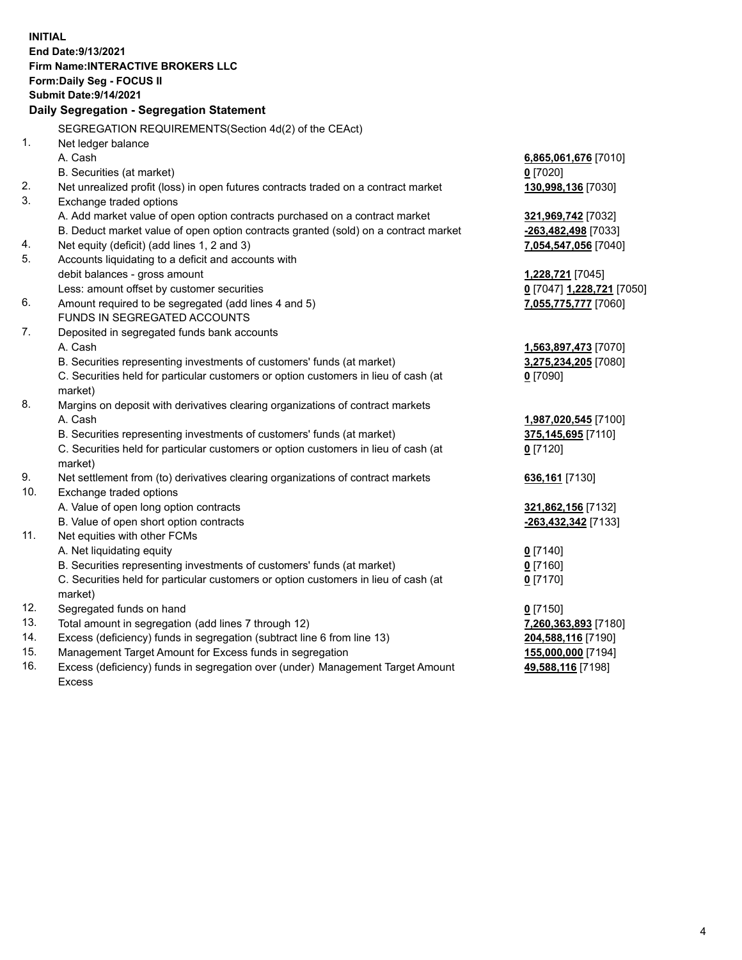**INITIAL End Date:9/13/2021 Firm Name:INTERACTIVE BROKERS LLC Form:Daily Seg - FOCUS II Submit Date:9/14/2021 Daily Segregation - Segregation Statement** SEGREGATION REQUIREMENTS(Section 4d(2) of the CEAct) 1. Net ledger balance A. Cash **6,865,061,676** [7010] B. Securities (at market) **0** [7020] 2. Net unrealized profit (loss) in open futures contracts traded on a contract market **130,998,136** [7030] 3. Exchange traded options A. Add market value of open option contracts purchased on a contract market **321,969,742** [7032] B. Deduct market value of open option contracts granted (sold) on a contract market **-263,482,498** [7033] 4. Net equity (deficit) (add lines 1, 2 and 3) **7,054,547,056** [7040] 5. Accounts liquidating to a deficit and accounts with debit balances - gross amount **1,228,721** [7045] Less: amount offset by customer securities **0** [7047] **1,228,721** [7050] 6. Amount required to be segregated (add lines 4 and 5) **7,055,775,777** [7060] FUNDS IN SEGREGATED ACCOUNTS 7. Deposited in segregated funds bank accounts A. Cash **1,563,897,473** [7070] B. Securities representing investments of customers' funds (at market) **3,275,234,205** [7080] C. Securities held for particular customers or option customers in lieu of cash (at market) **0** [7090] 8. Margins on deposit with derivatives clearing organizations of contract markets A. Cash **1,987,020,545** [7100] B. Securities representing investments of customers' funds (at market) **375,145,695** [7110] C. Securities held for particular customers or option customers in lieu of cash (at market) **0** [7120] 9. Net settlement from (to) derivatives clearing organizations of contract markets **636,161** [7130] 10. Exchange traded options A. Value of open long option contracts **321,862,156** [7132] B. Value of open short option contracts **-263,432,342** [7133] 11. Net equities with other FCMs A. Net liquidating equity **0** [7140] B. Securities representing investments of customers' funds (at market) **0** [7160] C. Securities held for particular customers or option customers in lieu of cash (at market) **0** [7170] 12. Segregated funds on hand **0** [7150] 13. Total amount in segregation (add lines 7 through 12) **7,260,363,893** [7180] 14. Excess (deficiency) funds in segregation (subtract line 6 from line 13) **204,588,116** [7190] 15. Management Target Amount for Excess funds in segregation **155,000,000** [7194] 16. Excess (deficiency) funds in segregation over (under) Management Target Amount **49,588,116** [7198]

Excess